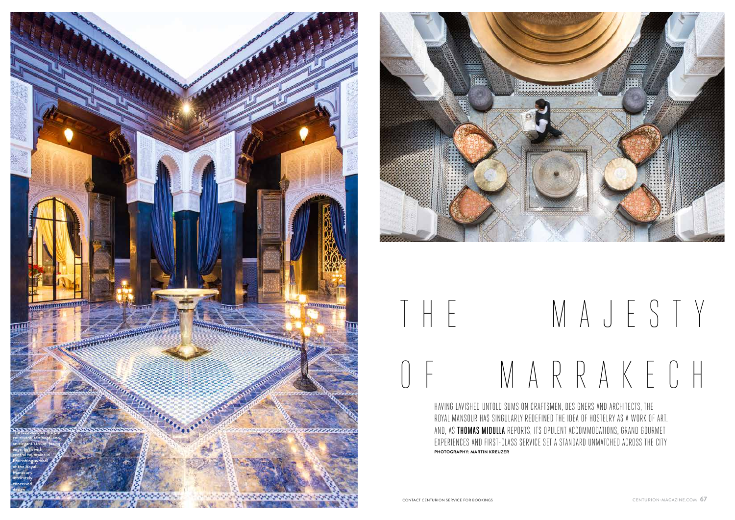HAVING LAVISHED UNTOLD SUMS ON CRAFTSMEN, DESIGNERS AND ARCHITECTS, THE ROYAL MANSOUR HAS SINGULARLY REDEFINED THE IDEA OF HOSTELRY AS A WORK OF ART. AND, AS THOMAS MIDULLA REPORTS, ITS OPULENT ACCOMMODATIONS, GRAND GOURMET EXPERIENCES AND FIRST-CLASS SERVICE SET A STANDARD UNMATCHED ACROSS THE CITY **PHOTOGRAPHY: MARTIN KREUZER**

## T H E M A J E S T Y O F M A R R A K E C H



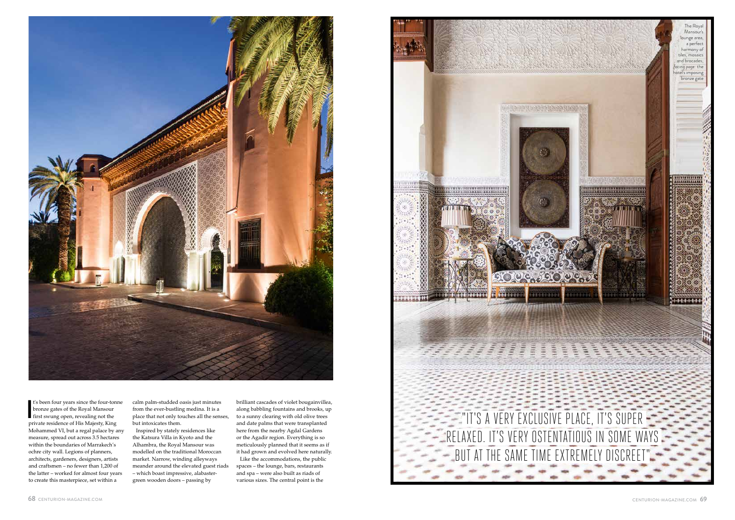

I's been four years since the four-to<br>bronze gates of the Royal Mansour<br>first swung open, revealing not the<br>time of the Michael Sun Albient Rice t's been four years since the four-tonne bronze gates of the Royal Mansour private residence of His Majesty, King Mohammed VI, but a regal palace by any measure, spread out across 3.5 hectares within the boundaries of Marrakech's ochre city wall. Legions of planners, architects, gardeners, designers, artists and craftsmen – no fewer than 1,200 of the latter – worked for almost four years to create this masterpiece, set within a

calm palm-studded oasis just minutes from the ever-bustling medina. It is a place that not only touches all the senses, but intoxicates them.

Inspired by stately residences like the Katsura Villa in Kyoto and the Alhambra, the Royal Mansour was modelled on the traditional Moroccan market. Narrow, winding alleyways meander around the elevated guest riads – which boast impressive, alabastergreen wooden doors – passing by

brilliant cascades of violet bougainvillea, along babbling fountains and brooks, up to a sunny clearing with old olive trees and date palms that were transplanted here from the nearby Agdal Gardens or the Agadir region. Everything is so meticulously planned that it seems as if it had grown and evolved here naturally.

Like the accommodations, the public spaces – the lounge, bars, restaurants and spa – were also built as riads of various sizes. The central point is the